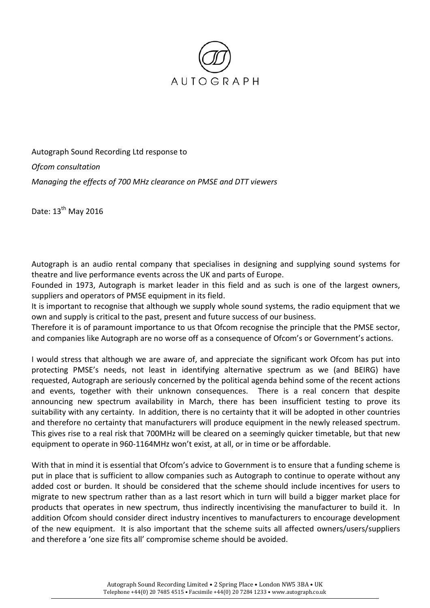

Autograph Sound Recording Ltd response to *Ofcom consultation Managing the effects of 700 MHz clearance on PMSE and DTT viewers*

Date: 13<sup>th</sup> May 2016

Autograph is an audio rental company that specialises in designing and supplying sound systems for theatre and live performance events across the UK and parts of Europe.

Founded in 1973, Autograph is market leader in this field and as such is one of the largest owners, suppliers and operators of PMSE equipment in its field.

It is important to recognise that although we supply whole sound systems, the radio equipment that we own and supply is critical to the past, present and future success of our business.

Therefore it is of paramount importance to us that Ofcom recognise the principle that the PMSE sector, and companies like Autograph are no worse off as a consequence of Ofcom's or Government's actions.

I would stress that although we are aware of, and appreciate the significant work Ofcom has put into protecting PMSE's needs, not least in identifying alternative spectrum as we (and BEIRG) have requested, Autograph are seriously concerned by the political agenda behind some of the recent actions and events, together with their unknown consequences. There is a real concern that despite announcing new spectrum availability in March, there has been insufficient testing to prove its suitability with any certainty. In addition, there is no certainty that it will be adopted in other countries and therefore no certainty that manufacturers will produce equipment in the newly released spectrum. This gives rise to a real risk that 700MHz will be cleared on a seemingly quicker timetable, but that new equipment to operate in 960-1164MHz won't exist, at all, or in time or be affordable.

With that in mind it is essential that Ofcom's advice to Government is to ensure that a funding scheme is put in place that is sufficient to allow companies such as Autograph to continue to operate without any added cost or burden. It should be considered that the scheme should include incentives for users to migrate to new spectrum rather than as a last resort which in turn will build a bigger market place for products that operates in new spectrum, thus indirectly incentivising the manufacturer to build it. In addition Ofcom should consider direct industry incentives to manufacturers to encourage development of the new equipment. It is also important that the scheme suits all affected owners/users/suppliers and therefore a 'one size fits all' compromise scheme should be avoided.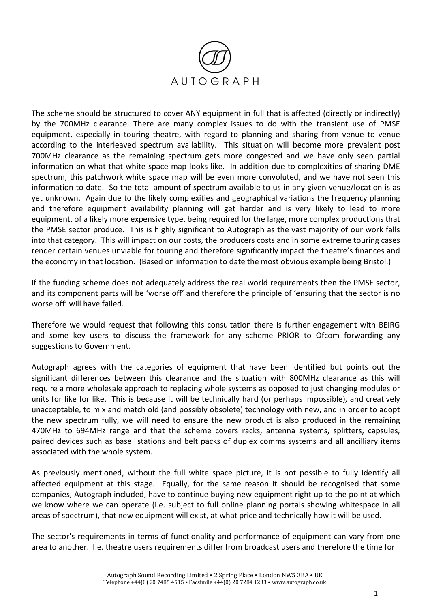

The scheme should be structured to cover ANY equipment in full that is affected (directly or indirectly) by the 700MHz clearance. There are many complex issues to do with the transient use of PMSE equipment, especially in touring theatre, with regard to planning and sharing from venue to venue according to the interleaved spectrum availability. This situation will become more prevalent post 700MHz clearance as the remaining spectrum gets more congested and we have only seen partial information on what that white space map looks like. In addition due to complexities of sharing DME spectrum, this patchwork white space map will be even more convoluted, and we have not seen this information to date. So the total amount of spectrum available to us in any given venue/location is as yet unknown. Again due to the likely complexities and geographical variations the frequency planning and therefore equipment availability planning will get harder and is very likely to lead to more equipment, of a likely more expensive type, being required for the large, more complex productions that the PMSE sector produce. This is highly significant to Autograph as the vast majority of our work falls into that category. This will impact on our costs, the producers costs and in some extreme touring cases render certain venues unviable for touring and therefore significantly impact the theatre's finances and the economy in that location. (Based on information to date the most obvious example being Bristol.)

If the funding scheme does not adequately address the real world requirements then the PMSE sector, and its component parts will be 'worse off' and therefore the principle of 'ensuring that the sector is no worse off' will have failed.

Therefore we would request that following this consultation there is further engagement with BEIRG and some key users to discuss the framework for any scheme PRIOR to Ofcom forwarding any suggestions to Government.

Autograph agrees with the categories of equipment that have been identified but points out the significant differences between this clearance and the situation with 800MHz clearance as this will require a more wholesale approach to replacing whole systems as opposed to just changing modules or units for like for like. This is because it will be technically hard (or perhaps impossible), and creatively unacceptable, to mix and match old (and possibly obsolete) technology with new, and in order to adopt the new spectrum fully, we will need to ensure the new product is also produced in the remaining 470MHz to 694MHz range and that the scheme covers racks, antenna systems, splitters, capsules, paired devices such as base stations and belt packs of duplex comms systems and all ancilliary items associated with the whole system.

As previously mentioned, without the full white space picture, it is not possible to fully identify all affected equipment at this stage. Equally, for the same reason it should be recognised that some companies, Autograph included, have to continue buying new equipment right up to the point at which we know where we can operate (i.e. subject to full online planning portals showing whitespace in all areas of spectrum), that new equipment will exist, at what price and technically how it will be used.

The sector's requirements in terms of functionality and performance of equipment can vary from one area to another. I.e. theatre users requirements differ from broadcast users and therefore the time for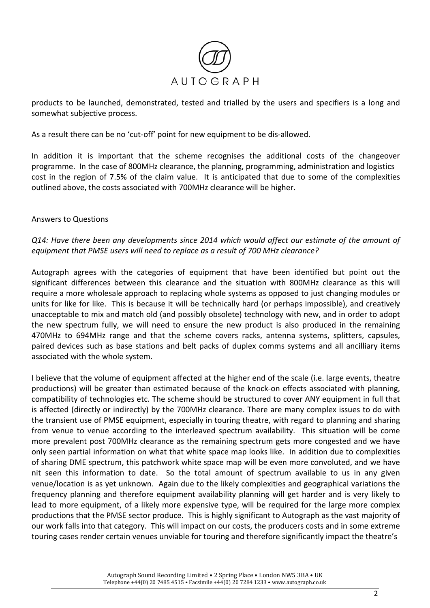

products to be launched, demonstrated, tested and trialled by the users and specifiers is a long and somewhat subjective process.

As a result there can be no 'cut-off' point for new equipment to be dis-allowed.

In addition it is important that the scheme recognises the additional costs of the changeover programme. In the case of 800MHz clearance, the planning, programming, administration and logistics cost in the region of 7.5% of the claim value. It is anticipated that due to some of the complexities outlined above, the costs associated with 700MHz clearance will be higher.

## Answers to Questions

## *Q14: Have there been any developments since 2014 which would affect our estimate of the amount of equipment that PMSE users will need to replace as a result of 700 MHz clearance?*

Autograph agrees with the categories of equipment that have been identified but point out the significant differences between this clearance and the situation with 800MHz clearance as this will require a more wholesale approach to replacing whole systems as opposed to just changing modules or units for like for like. This is because it will be technically hard (or perhaps impossible), and creatively unacceptable to mix and match old (and possibly obsolete) technology with new, and in order to adopt the new spectrum fully, we will need to ensure the new product is also produced in the remaining 470MHz to 694MHz range and that the scheme covers racks, antenna systems, splitters, capsules, paired devices such as base stations and belt packs of duplex comms systems and all ancilliary items associated with the whole system.

I believe that the volume of equipment affected at the higher end of the scale (i.e. large events, theatre productions) will be greater than estimated because of the knock-on effects associated with planning, compatibility of technologies etc. The scheme should be structured to cover ANY equipment in full that is affected (directly or indirectly) by the 700MHz clearance. There are many complex issues to do with the transient use of PMSE equipment, especially in touring theatre, with regard to planning and sharing from venue to venue according to the interleaved spectrum availability. This situation will be come more prevalent post 700MHz clearance as the remaining spectrum gets more congested and we have only seen partial information on what that white space map looks like. In addition due to complexities of sharing DME spectrum, this patchwork white space map will be even more convoluted, and we have nit seen this information to date. So the total amount of spectrum available to us in any given venue/location is as yet unknown. Again due to the likely complexities and geographical variations the frequency planning and therefore equipment availability planning will get harder and is very likely to lead to more equipment, of a likely more expensive type, will be required for the large more complex productions that the PMSE sector produce. This is highly significant to Autograph as the vast majority of our work falls into that category. This will impact on our costs, the producers costs and in some extreme touring cases render certain venues unviable for touring and therefore significantly impact the theatre's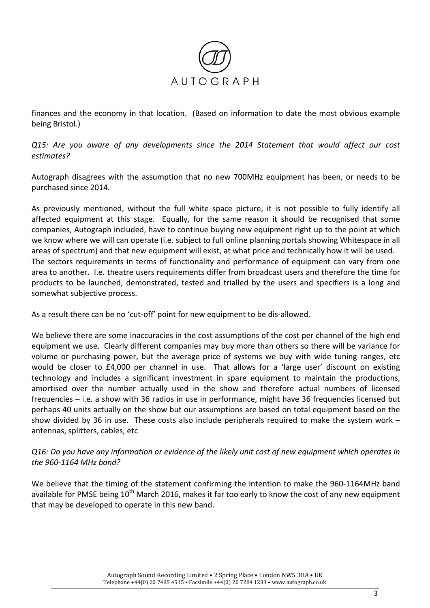

finances and the economy in that location. (Based on information to date the most obvious example being Bristol.)

*Q15: Are you aware of any developments since the 2014 Statement that would affect our cost estimates?* 

Autograph disagrees with the assumption that no new 700MHz equipment has been, or needs to be purchased since 2014.

As previously mentioned, without the full white space picture, it is not possible to fully identify all affected equipment at this stage. Equally, for the same reason it should be recognised that some companies, Autograph included, have to continue buying new equipment right up to the point at which we know where we will can operate (i.e. subject to full online planning portals showing Whitespace in all areas of spectrum) and that new equipment will exist, at what price and technically how it will be used. The sectors requirements in terms of functionality and performance of equipment can vary from one area to another. I.e. theatre users requirements differ from broadcast users and therefore the time for products to be launched, demonstrated, tested and trialled by the users and specifiers is a long and somewhat subjective process.

As a result there can be no 'cut-off' point for new equipment to be dis-allowed.

We believe there are some inaccuracies in the cost assumptions of the cost per channel of the high end equipment we use. Clearly different companies may buy more than others so there will be variance for volume or purchasing power, but the average price of systems we buy with wide tuning ranges, etc would be closer to £4,000 per channel in use. That allows for a 'large user' discount on existing technology and includes a significant investment in spare equipment to maintain the productions, amortised over the number actually used in the show and therefore actual numbers of licensed frequencies – i.e. a show with 36 radios in use in performance, might have 36 frequencies licensed but perhaps 40 units actually on the show but our assumptions are based on total equipment based on the show divided by 36 in use. These costs also include peripherals required to make the system work – antennas, splitters, cables, etc

## *Q16: Do you have any information or evidence of the likely unit cost of new equipment which operates in the 960-1164 MHz band?*

We believe that the timing of the statement confirming the intention to make the 960-1164MHz band available for PMSE being  $10^{th}$  March 2016, makes it far too early to know the cost of any new equipment that may be developed to operate in this new band.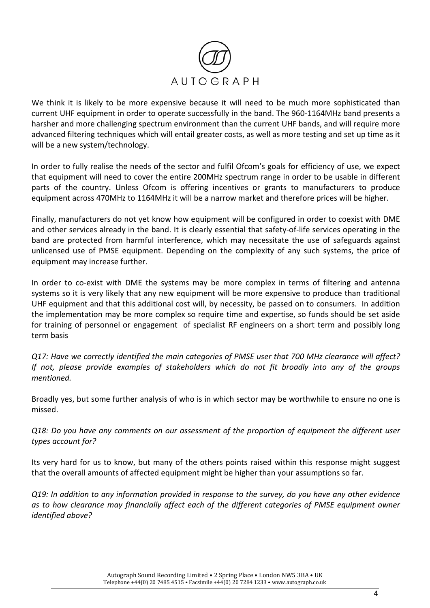

We think it is likely to be more expensive because it will need to be much more sophisticated than current UHF equipment in order to operate successfully in the band. The 960-1164MHz band presents a harsher and more challenging spectrum environment than the current UHF bands, and will require more advanced filtering techniques which will entail greater costs, as well as more testing and set up time as it will be a new system/technology.

In order to fully realise the needs of the sector and fulfil Ofcom's goals for efficiency of use, we expect that equipment will need to cover the entire 200MHz spectrum range in order to be usable in different parts of the country. Unless Ofcom is offering incentives or grants to manufacturers to produce equipment across 470MHz to 1164MHz it will be a narrow market and therefore prices will be higher.

Finally, manufacturers do not yet know how equipment will be configured in order to coexist with DME and other services already in the band. It is clearly essential that safety-of-life services operating in the band are protected from harmful interference, which may necessitate the use of safeguards against unlicensed use of PMSE equipment. Depending on the complexity of any such systems, the price of equipment may increase further.

In order to co-exist with DME the systems may be more complex in terms of filtering and antenna systems so it is very likely that any new equipment will be more expensive to produce than traditional UHF equipment and that this additional cost will, by necessity, be passed on to consumers. In addition the implementation may be more complex so require time and expertise, so funds should be set aside for training of personnel or engagement of specialist RF engineers on a short term and possibly long term basis

*Q17: Have we correctly identified the main categories of PMSE user that 700 MHz clearance will affect? If not, please provide examples of stakeholders which do not fit broadly into any of the groups mentioned.* 

Broadly yes, but some further analysis of who is in which sector may be worthwhile to ensure no one is missed.

*Q18: Do you have any comments on our assessment of the proportion of equipment the different user types account for?* 

Its very hard for us to know, but many of the others points raised within this response might suggest that the overall amounts of affected equipment might be higher than your assumptions so far.

*Q19: In addition to any information provided in response to the survey, do you have any other evidence as to how clearance may financially affect each of the different categories of PMSE equipment owner identified above?*